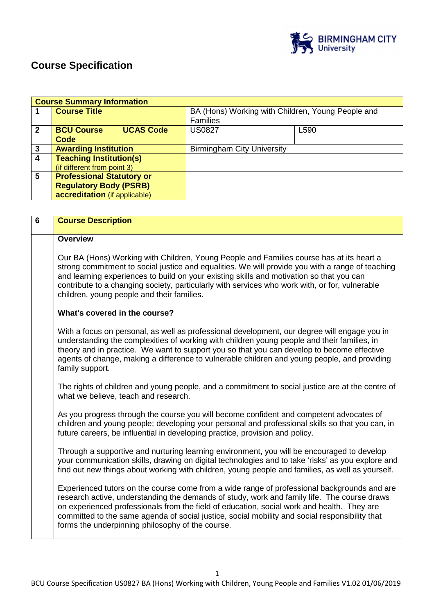

# **Course Specification**

|                | <b>Course Summary Information</b>                                                                  |                  |                                                                      |      |
|----------------|----------------------------------------------------------------------------------------------------|------------------|----------------------------------------------------------------------|------|
|                | <b>Course Title</b>                                                                                |                  | BA (Hons) Working with Children, Young People and<br><b>Families</b> |      |
| $\mathbf 2$    | <b>BCU Course</b><br>Code                                                                          | <b>UCAS Code</b> | <b>US0827</b>                                                        | L590 |
| 3              | <b>Awarding Institution</b>                                                                        |                  | <b>Birmingham City University</b>                                    |      |
| $\overline{4}$ | <b>Teaching Institution(s)</b><br>(if different from point 3)                                      |                  |                                                                      |      |
| 5              | <b>Professional Statutory or</b><br><b>Regulatory Body (PSRB)</b><br>accreditation (if applicable) |                  |                                                                      |      |

| $\overline{6}$ | <b>Course Description</b>                                                                                                                                                                                                                                                                                                                                                                                                                      |
|----------------|------------------------------------------------------------------------------------------------------------------------------------------------------------------------------------------------------------------------------------------------------------------------------------------------------------------------------------------------------------------------------------------------------------------------------------------------|
|                | <b>Overview</b>                                                                                                                                                                                                                                                                                                                                                                                                                                |
|                | Our BA (Hons) Working with Children, Young People and Families course has at its heart a<br>strong commitment to social justice and equalities. We will provide you with a range of teaching<br>and learning experiences to build on your existing skills and motivation so that you can<br>contribute to a changing society, particularly with services who work with, or for, vulnerable<br>children, young people and their families.       |
|                | What's covered in the course?                                                                                                                                                                                                                                                                                                                                                                                                                  |
|                | With a focus on personal, as well as professional development, our degree will engage you in<br>understanding the complexities of working with children young people and their families, in<br>theory and in practice. We want to support you so that you can develop to become effective<br>agents of change, making a difference to vulnerable children and young people, and providing<br>family support.                                   |
|                | The rights of children and young people, and a commitment to social justice are at the centre of<br>what we believe, teach and research.                                                                                                                                                                                                                                                                                                       |
|                | As you progress through the course you will become confident and competent advocates of<br>children and young people; developing your personal and professional skills so that you can, in<br>future careers, be influential in developing practice, provision and policy.                                                                                                                                                                     |
|                | Through a supportive and nurturing learning environment, you will be encouraged to develop<br>your communication skills, drawing on digital technologies and to take 'risks' as you explore and<br>find out new things about working with children, young people and families, as well as yourself.                                                                                                                                            |
|                | Experienced tutors on the course come from a wide range of professional backgrounds and are<br>research active, understanding the demands of study, work and family life. The course draws<br>on experienced professionals from the field of education, social work and health. They are<br>committed to the same agenda of social justice, social mobility and social responsibility that<br>forms the underpinning philosophy of the course. |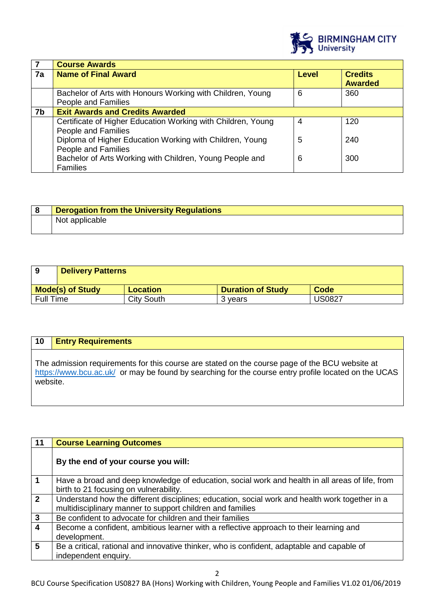

|    | <b>Course Awards</b>                                                                |                |                                  |
|----|-------------------------------------------------------------------------------------|----------------|----------------------------------|
| 7a | <b>Name of Final Award</b>                                                          | <b>Level</b>   | <b>Credits</b><br><b>Awarded</b> |
|    | Bachelor of Arts with Honours Working with Children, Young<br>People and Families   | 6              | 360                              |
| 7b | <b>Exit Awards and Credits Awarded</b>                                              |                |                                  |
|    | Certificate of Higher Education Working with Children, Young<br>People and Families | $\overline{4}$ | 120                              |
|    | Diploma of Higher Education Working with Children, Young<br>People and Families     | 5              | 240                              |
|    | Bachelor of Arts Working with Children, Young People and<br><b>Families</b>         | 6              | 300                              |

| <b>Derogation from the University Regulations</b> |
|---------------------------------------------------|
| Not applicable                                    |

| 9                       | <b>Delivery Patterns</b> |            |                          |               |
|-------------------------|--------------------------|------------|--------------------------|---------------|
| <b>Mode(s) of Study</b> |                          | Location   | <b>Duration of Study</b> | Code          |
| <b>Full Time</b>        |                          | City South | 3 vears                  | <b>US0827</b> |

| 10       | <b>Entry Requirements</b>                                                                                                                                                                              |
|----------|--------------------------------------------------------------------------------------------------------------------------------------------------------------------------------------------------------|
| website. | The admission requirements for this course are stated on the course page of the BCU website at<br>https://www.bcu.ac.uk/ or may be found by searching for the course entry profile located on the UCAS |

| 11                      | <b>Course Learning Outcomes</b>                                                                                                                             |
|-------------------------|-------------------------------------------------------------------------------------------------------------------------------------------------------------|
|                         | By the end of your course you will:                                                                                                                         |
| $\mathbf 1$             | Have a broad and deep knowledge of education, social work and health in all areas of life, from<br>birth to 21 focusing on vulnerability.                   |
| $\overline{2}$          | Understand how the different disciplines; education, social work and health work together in a<br>multidisciplinary manner to support children and families |
| $\overline{\mathbf{3}}$ | Be confident to advocate for children and their families                                                                                                    |
| $\overline{4}$          | Become a confident, ambitious learner with a reflective approach to their learning and<br>development.                                                      |
| 5                       | Be a critical, rational and innovative thinker, who is confident, adaptable and capable of<br>independent enquiry.                                          |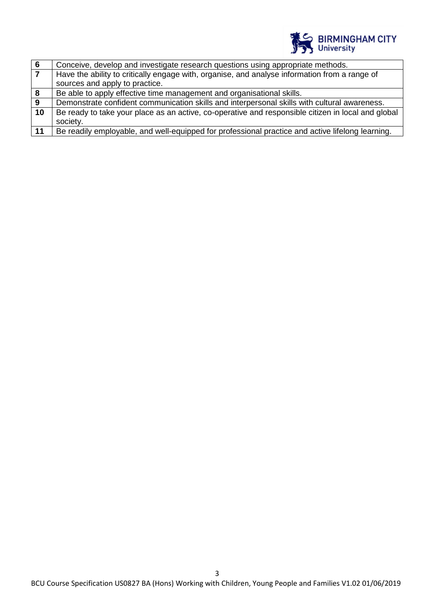

| 6  | Conceive, develop and investigate research questions using appropriate methods.                    |
|----|----------------------------------------------------------------------------------------------------|
| 7  | Have the ability to critically engage with, organise, and analyse information from a range of      |
|    | sources and apply to practice.                                                                     |
| 8  | Be able to apply effective time management and organisational skills.                              |
| 9  | Demonstrate confident communication skills and interpersonal skills with cultural awareness.       |
| 10 | Be ready to take your place as an active, co-operative and responsible citizen in local and global |
|    | society.                                                                                           |
| 11 | Be readily employable, and well-equipped for professional practice and active lifelong learning.   |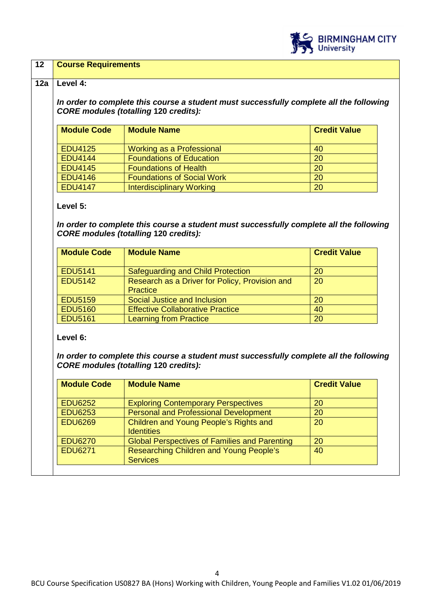

## **12 Course Requirements**

### **12a Level 4:**

**In order to complete this course a student must successfully complete all the following CORE modules (totalling 120 credits):**

| <b>Module Code</b> | <b>Module Name</b>                | <b>Credit Value</b> |
|--------------------|-----------------------------------|---------------------|
| <b>EDU4125</b>     | Working as a Professional         | 40                  |
| <b>EDU4144</b>     | <b>Foundations of Education</b>   | 20                  |
| <b>EDU4145</b>     | <b>Foundations of Health</b>      | 20                  |
| <b>EDU4146</b>     | <b>Foundations of Social Work</b> | 20                  |
| <b>EDU4147</b>     | <b>Interdisciplinary Working</b>  | 20                  |

## **Level 5:**

**In order to complete this course a student must successfully complete all the following CORE modules (totalling 120 credits):** 

| <b>Module Code</b> | <b>Module Name</b>                                                | <b>Credit Value</b> |
|--------------------|-------------------------------------------------------------------|---------------------|
| <b>EDU5141</b>     | Safeguarding and Child Protection                                 | 20                  |
| <b>EDU5142</b>     | Research as a Driver for Policy, Provision and<br><b>Practice</b> | 20                  |
| <b>EDU5159</b>     | Social Justice and Inclusion                                      | 20                  |
| <b>EDU5160</b>     | <b>Effective Collaborative Practice</b>                           | 40                  |
| <b>EDU5161</b>     | <b>Learning from Practice</b>                                     | 20                  |

**Level 6:** 

**In order to complete this course a student must successfully complete all the following CORE modules (totalling 120 credits):** 

| <b>Module Code</b> | <b>Module Name</b>                                          | <b>Credit Value</b> |
|--------------------|-------------------------------------------------------------|---------------------|
| <b>EDU6252</b>     | <b>Exploring Contemporary Perspectives</b>                  | 20                  |
| <b>EDU6253</b>     | <b>Personal and Professional Development</b>                | 20                  |
| <b>EDU6269</b>     | Children and Young People's Rights and<br><b>Identities</b> | 20                  |
| <b>EDU6270</b>     | <b>Global Perspectives of Families and Parenting</b>        | 20                  |
| <b>EDU6271</b>     | Researching Children and Young People's<br><b>Services</b>  | 40                  |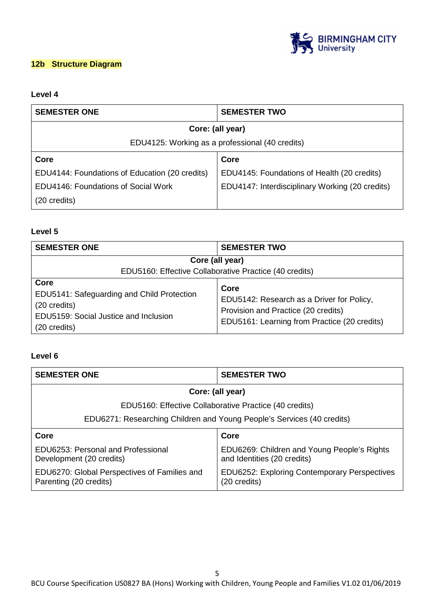

# **12b Structure Diagram**

# **Level 4**

| <b>SEMESTER ONE</b>                             | <b>SEMESTER TWO</b>                             |  |
|-------------------------------------------------|-------------------------------------------------|--|
|                                                 | Core: (all year)                                |  |
| EDU4125: Working as a professional (40 credits) |                                                 |  |
| Core                                            | Core                                            |  |
| EDU4144: Foundations of Education (20 credits)  | EDU4145: Foundations of Health (20 credits)     |  |
| EDU4146: Foundations of Social Work             | EDU4147: Interdisciplinary Working (20 credits) |  |
| $(20 \text{ credits})$                          |                                                 |  |

# **Level 5**

| <b>SEMESTER ONE</b>                                                                                                         | <b>SEMESTER TWO</b>                                                                                                                      |
|-----------------------------------------------------------------------------------------------------------------------------|------------------------------------------------------------------------------------------------------------------------------------------|
| Core (all year)<br>EDU5160: Effective Collaborative Practice (40 credits)                                                   |                                                                                                                                          |
| Core<br>EDU5141: Safeguarding and Child Protection<br>(20 credits)<br>EDU5159: Social Justice and Inclusion<br>(20 credits) | Core<br>EDU5142: Research as a Driver for Policy,<br>Provision and Practice (20 credits)<br>EDU5161: Learning from Practice (20 credits) |

# **Level 6**

| <b>SEMESTER ONE</b>                                                    | <b>SEMESTER TWO</b>                                                        |
|------------------------------------------------------------------------|----------------------------------------------------------------------------|
| Core: (all year)                                                       |                                                                            |
| EDU5160: Effective Collaborative Practice (40 credits)                 |                                                                            |
| EDU6271: Researching Children and Young People's Services (40 credits) |                                                                            |
| Core                                                                   | Core                                                                       |
| EDU6253: Personal and Professional<br>Development (20 credits)         | EDU6269: Children and Young People's Rights<br>and Identities (20 credits) |
| EDU6270: Global Perspectives of Families and<br>Parenting (20 credits) | <b>EDU6252: Exploring Contemporary Perspectives</b><br>(20 credits)        |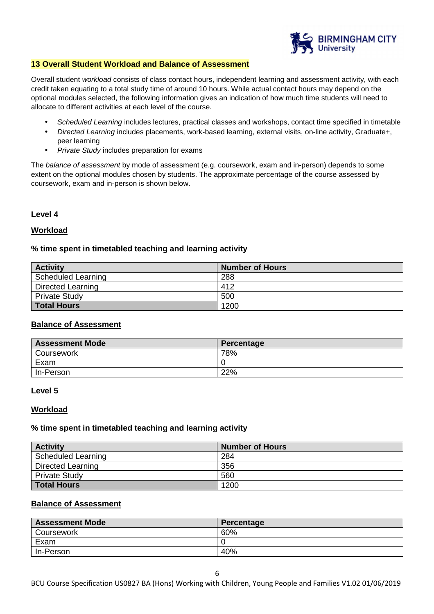

## **13 Overall Student Workload and Balance of Assessment**

Overall student workload consists of class contact hours, independent learning and assessment activity, with each credit taken equating to a total study time of around 10 hours. While actual contact hours may depend on the optional modules selected, the following information gives an indication of how much time students will need to allocate to different activities at each level of the course.

- Scheduled Learning includes lectures, practical classes and workshops, contact time specified in timetable
- Directed Learning includes placements, work-based learning, external visits, on-line activity, Graduate+, peer learning
- Private Study includes preparation for exams

The balance of assessment by mode of assessment (e.g. coursework, exam and in-person) depends to some extent on the optional modules chosen by students. The approximate percentage of the course assessed by coursework, exam and in-person is shown below.

#### **Level 4**

#### **Workload**

## **% time spent in timetabled teaching and learning activity**

| <b>Activity</b>           | <b>Number of Hours</b> |
|---------------------------|------------------------|
| <b>Scheduled Learning</b> | 288                    |
| <b>Directed Learning</b>  | 412                    |
| <b>Private Study</b>      | 500                    |
| <b>Total Hours</b>        | 1200                   |

## **Balance of Assessment**

| <b>Assessment Mode</b> | Percentage |
|------------------------|------------|
| Coursework             | 78%        |
| Exam                   |            |
| In-Person              | 22%        |

#### **Level 5**

#### **Workload**

#### **% time spent in timetabled teaching and learning activity**

| <b>Activity</b>          | <b>Number of Hours</b> |
|--------------------------|------------------------|
| Scheduled Learning       | 284                    |
| <b>Directed Learning</b> | 356                    |
| <b>Private Study</b>     | 560                    |
| <b>Total Hours</b>       | 1200                   |

## **Balance of Assessment**

| <b>Assessment Mode</b> | Percentage |
|------------------------|------------|
| Coursework             | 60%        |
| Exam                   |            |
| In-Person              | 40%        |